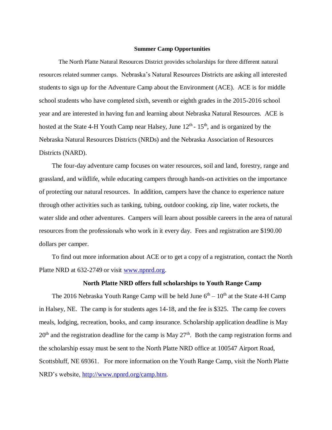## **Summer Camp Opportunities**

The North Platte Natural Resources District provides scholarships for three different natural resources related summer camps.Nebraska's Natural Resources Districts are asking all interested students to sign up for the Adventure Camp about the Environment (ACE). ACE is for middle school students who have completed sixth, seventh or eighth grades in the 2015-2016 school year and are interested in having fun and learning about Nebraska Natural Resources. ACE is hosted at the State 4-H Youth Camp near Halsey, June  $12<sup>th</sup>$ - 15<sup>th</sup>, and is organized by the Nebraska Natural Resources Districts (NRDs) and the Nebraska Association of Resources Districts (NARD).

The four-day adventure camp focuses on water resources, soil and land, forestry, range and grassland, and wildlife, while educating campers through hands-on activities on the importance of protecting our natural resources. In addition, campers have the chance to experience nature through other activities such as tanking, tubing, outdoor cooking, zip line, water rockets, the water slide and other adventures. Campers will learn about possible careers in the area of natural resources from the professionals who work in it every day. Fees and registration are \$190.00 dollars per camper.

To find out more information about ACE or to get a copy of a registration, contact the North Platte NRD at 632-2749 or visit [www.npnrd.org.](http://www.npnrd.org/)

## **North Platte NRD offers full scholarships to Youth Range Camp**

The 2016 Nebraska Youth Range Camp will be held June  $6<sup>th</sup> - 10<sup>th</sup>$  at the State 4-H Camp in Halsey, NE. The camp is for students ages 14-18, and the fee is \$325. The camp fee covers meals, lodging, recreation, books, and camp insurance. Scholarship application deadline is May 20<sup>th</sup> and the registration deadline for the camp is May 27<sup>th</sup>. Both the camp registration forms and the scholarship essay must be sent to the North Platte NRD office at 100547 Airport Road, Scottsbluff, NE 69361. For more information on the Youth Range Camp, visit the North Platte NRD's website, [http://www.npnrd.org/camp.htm.](http://www.npnrd.org/camp.htm)